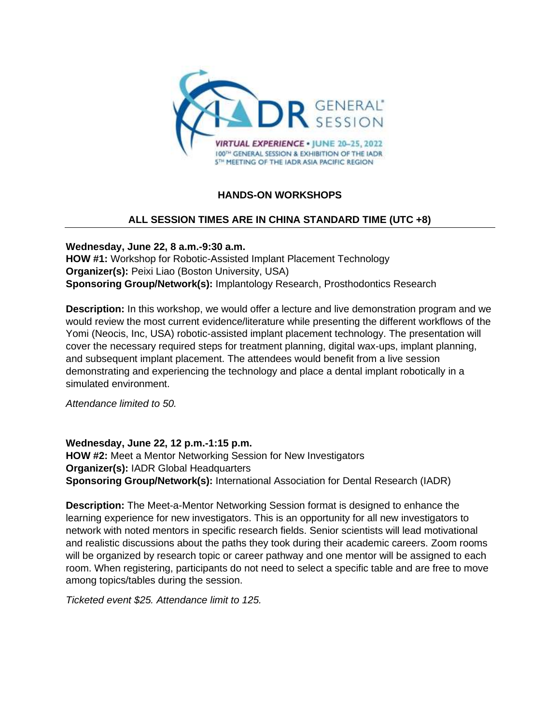

## **HANDS-ON WORKSHOPS**

## **ALL SESSION TIMES ARE IN CHINA STANDARD TIME (UTC +8)**

**Wednesday, June 22, 8 a.m.-9:30 a.m. HOW #1:** Workshop for Robotic-Assisted Implant Placement Technology **Organizer(s):** Peixi Liao (Boston University, USA) **Sponsoring Group/Network(s):** Implantology Research, Prosthodontics Research

**Description:** In this workshop, we would offer a lecture and live demonstration program and we would review the most current evidence/literature while presenting the different workflows of the Yomi (Neocis, Inc, USA) robotic-assisted implant placement technology. The presentation will cover the necessary required steps for treatment planning, digital wax-ups, implant planning, and subsequent implant placement. The attendees would benefit from a live session demonstrating and experiencing the technology and place a dental implant robotically in a simulated environment.

*Attendance limited to 50.*

**Wednesday, June 22, 12 p.m.-1:15 p.m. HOW #2:** Meet a Mentor Networking Session for New Investigators **Organizer(s):** IADR Global Headquarters **Sponsoring Group/Network(s):** International Association for Dental Research (IADR)

**Description:** The Meet-a-Mentor Networking Session format is designed to enhance the learning experience for new investigators. This is an opportunity for all new investigators to network with noted mentors in specific research fields. Senior scientists will lead motivational and realistic discussions about the paths they took during their academic careers. Zoom rooms will be organized by research topic or career pathway and one mentor will be assigned to each room. When registering, participants do not need to select a specific table and are free to move among topics/tables during the session.

*Ticketed event \$25. Attendance limit to 125.*